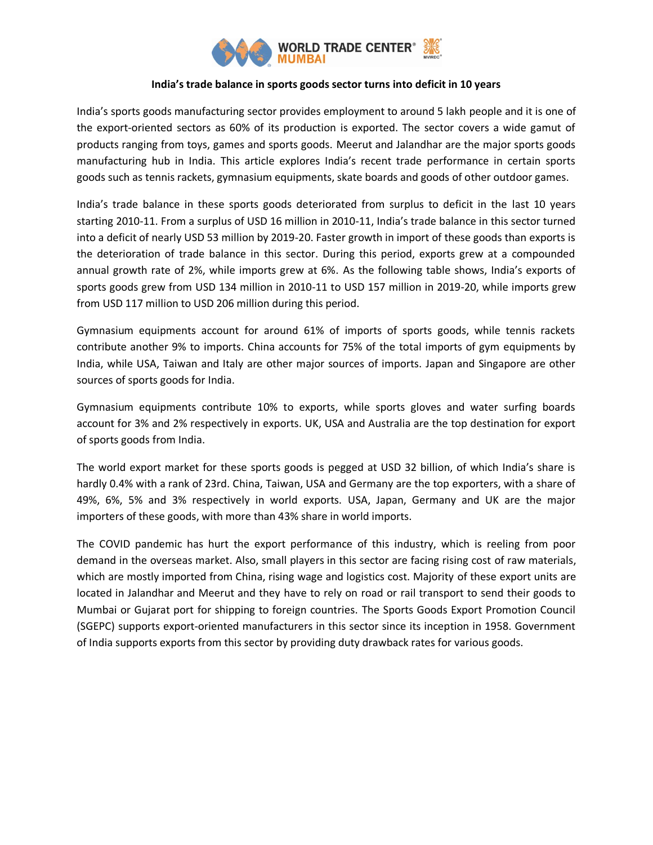

## **India's trade balance in sports goods sector turns into deficit in 10 years**

India's sports goods manufacturing sector provides employment to around 5 lakh people and it is one of the export-oriented sectors as 60% of its production is exported. The sector covers a wide gamut of products ranging from toys, games and sports goods. Meerut and Jalandhar are the major sports goods manufacturing hub in India. This article explores India's recent trade performance in certain sports goods such as tennis rackets, gymnasium equipments, skate boards and goods of other outdoor games.

India's trade balance in these sports goods deteriorated from surplus to deficit in the last 10 years starting 2010-11. From a surplus of USD 16 million in 2010-11, India's trade balance in this sector turned into a deficit of nearly USD 53 million by 2019-20. Faster growth in import of these goods than exports is the deterioration of trade balance in this sector. During this period, exports grew at a compounded annual growth rate of 2%, while imports grew at 6%. As the following table shows, India's exports of sports goods grew from USD 134 million in 2010-11 to USD 157 million in 2019-20, while imports grew from USD 117 million to USD 206 million during this period.

Gymnasium equipments account for around 61% of imports of sports goods, while tennis rackets contribute another 9% to imports. China accounts for 75% of the total imports of gym equipments by India, while USA, Taiwan and Italy are other major sources of imports. Japan and Singapore are other sources of sports goods for India.

Gymnasium equipments contribute 10% to exports, while sports gloves and water surfing boards account for 3% and 2% respectively in exports. UK, USA and Australia are the top destination for export of sports goods from India.

The world export market for these sports goods is pegged at USD 32 billion, of which India's share is hardly 0.4% with a rank of 23rd. China, Taiwan, USA and Germany are the top exporters, with a share of 49%, 6%, 5% and 3% respectively in world exports. USA, Japan, Germany and UK are the major importers of these goods, with more than 43% share in world imports.

The COVID pandemic has hurt the export performance of this industry, which is reeling from poor demand in the overseas market. Also, small players in this sector are facing rising cost of raw materials, which are mostly imported from China, rising wage and logistics cost. Majority of these export units are located in Jalandhar and Meerut and they have to rely on road or rail transport to send their goods to Mumbai or Gujarat port for shipping to foreign countries. The Sports Goods Export Promotion Council (SGEPC) supports export-oriented manufacturers in this sector since its inception in 1958. Government of India supports exports from this sector by providing duty drawback rates for various goods.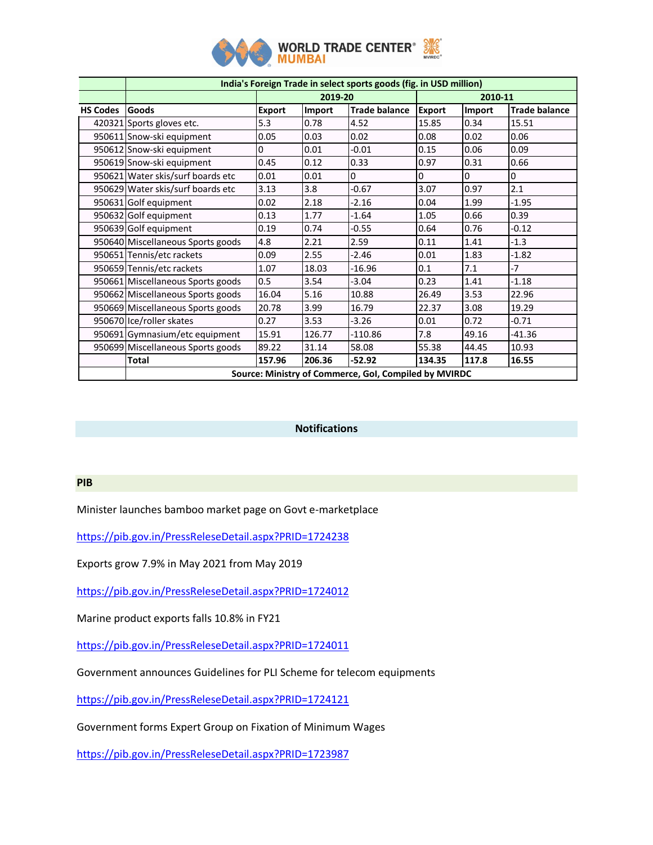

|                 | India's Foreign Trade in select sports goods (fig. in USD million) |               |        |                      |               |          |                      |
|-----------------|--------------------------------------------------------------------|---------------|--------|----------------------|---------------|----------|----------------------|
|                 |                                                                    | 2019-20       |        |                      | 2010-11       |          |                      |
| <b>HS Codes</b> | <b>Goods</b>                                                       | <b>Export</b> | Import | <b>Trade balance</b> | <b>Export</b> | Import   | <b>Trade balance</b> |
|                 | 420321 Sports gloves etc.                                          | 5.3           | 0.78   | 4.52                 | 15.85         | 0.34     | 15.51                |
|                 | 950611 Snow-ski equipment                                          | 0.05          | 0.03   | 0.02                 | 0.08          | 0.02     | 0.06                 |
|                 | 950612 Snow-ski equipment                                          | 0             | 0.01   | $-0.01$              | 0.15          | 0.06     | 0.09                 |
|                 | 950619 Snow-ski equipment                                          | 0.45          | 0.12   | 0.33                 | 0.97          | 0.31     | 0.66                 |
|                 | 950621 Water skis/surf boards etc                                  | 0.01          | 0.01   | 0                    | 0             | $\Omega$ | 0                    |
|                 | 950629 Water skis/surf boards etc                                  | 3.13          | 3.8    | $-0.67$              | 3.07          | 0.97     | 2.1                  |
|                 | 950631 Golf equipment                                              | 0.02          | 2.18   | $-2.16$              | 0.04          | 1.99     | $-1.95$              |
|                 | 950632 Golf equipment                                              | 0.13          | 1.77   | $-1.64$              | 1.05          | 0.66     | 0.39                 |
|                 | 950639 Golf equipment                                              | 0.19          | 0.74   | $-0.55$              | 0.64          | 0.76     | $-0.12$              |
|                 | 950640 Miscellaneous Sports goods                                  | 4.8           | 2.21   | 2.59                 | 0.11          | 1.41     | $-1.3$               |
|                 | 950651 Tennis/etc rackets                                          | 0.09          | 2.55   | $-2.46$              | 0.01          | 1.83     | $-1.82$              |
|                 | 950659 Tennis/etc rackets                                          | 1.07          | 18.03  | $-16.96$             | 0.1           | 7.1      | $-7$                 |
|                 | 950661 Miscellaneous Sports goods                                  | 0.5           | 3.54   | $-3.04$              | 0.23          | 1.41     | $-1.18$              |
|                 | 950662 Miscellaneous Sports goods                                  | 16.04         | 5.16   | 10.88                | 26.49         | 3.53     | 22.96                |
|                 | 950669 Miscellaneous Sports goods                                  | 20.78         | 3.99   | 16.79                | 22.37         | 3.08     | 19.29                |
|                 | 950670 Ice/roller skates                                           | 0.27          | 3.53   | $-3.26$              | 0.01          | 0.72     | -0.71                |
|                 | 950691 Gymnasium/etc equipment                                     | 15.91         | 126.77 | $-110.86$            | 7.8           | 49.16    | $-41.36$             |
|                 | 950699 Miscellaneous Sports goods                                  | 89.22         | 31.14  | 58.08                | 55.38         | 44.45    | 10.93                |
|                 | <b>Total</b>                                                       | 157.96        | 206.36 | $-52.92$             | 134.35        | 117.8    | 16.55                |
|                 | Source: Ministry of Commerce, Gol, Compiled by MVIRDC              |               |        |                      |               |          |                      |

## **Notifications**

## **PIB**

Minister launches bamboo market page on Govt e-marketplace

<https://pib.gov.in/PressReleseDetail.aspx?PRID=1724238>

Exports grow 7.9% in May 2021 from May 2019

<https://pib.gov.in/PressReleseDetail.aspx?PRID=1724012>

Marine product exports falls 10.8% in FY21

<https://pib.gov.in/PressReleseDetail.aspx?PRID=1724011>

Government announces Guidelines for PLI Scheme for telecom equipments

<https://pib.gov.in/PressReleseDetail.aspx?PRID=1724121>

Government forms Expert Group on Fixation of Minimum Wages

<https://pib.gov.in/PressReleseDetail.aspx?PRID=1723987>